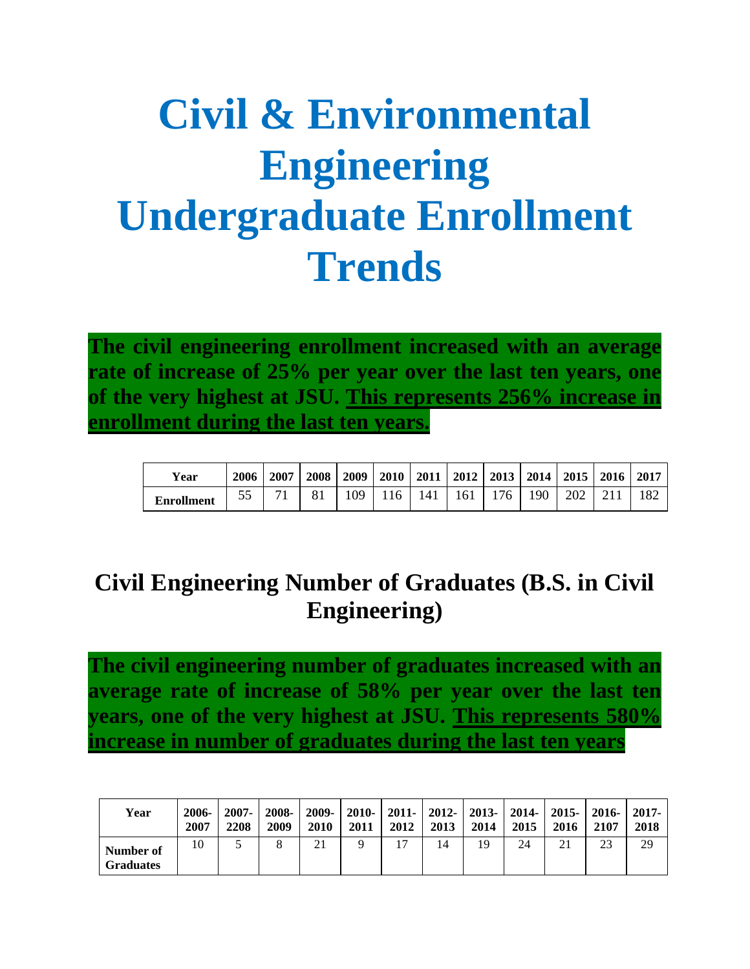## **Civil & Environmental Engineering Undergraduate Enrollment Trends**

**The civil engineering enrollment increased with an average rate of increase of 25% per year over the last ten years, one of the very highest at JSU. This represents 256% increase in enrollment during the last ten years.**

| Year              | 2006 | 2007 | 2008 | 2009 | <b>2010</b> | 2011 |     | $2012$ 2013 |     | $2014$   2015   2016 | 2017 |
|-------------------|------|------|------|------|-------------|------|-----|-------------|-----|----------------------|------|
| <b>Enrollment</b> | 55   | 71   | 81   | 09   | 16          | l 41 | 161 | 176         | 190 | 202                  |      |

## **Civil Engineering Number of Graduates (B.S. in Civil Engineering)**

**The civil engineering number of graduates increased with an average rate of increase of 58% per year over the last ten years, one of the very highest at JSU. This represents 580% increase in number of graduates during the last ten years**

| Year                          | 2006-<br>2007 | 2007-<br>2208 | 2008-<br>2009 | $2009 -$<br>2010 | 2011 | 2012 | 2010-   2011-   2012-   2013-   2014-   2015-  <br>2013 | 2014 | 2015 | 2016 | $-2016-$<br>2107 | 2017-<br>2018 |
|-------------------------------|---------------|---------------|---------------|------------------|------|------|---------------------------------------------------------|------|------|------|------------------|---------------|
| Number of<br><b>Graduates</b> | 10            |               |               | 21               |      | 17   | 14                                                      | 19   | 24   | 21   | 23               | 29            |